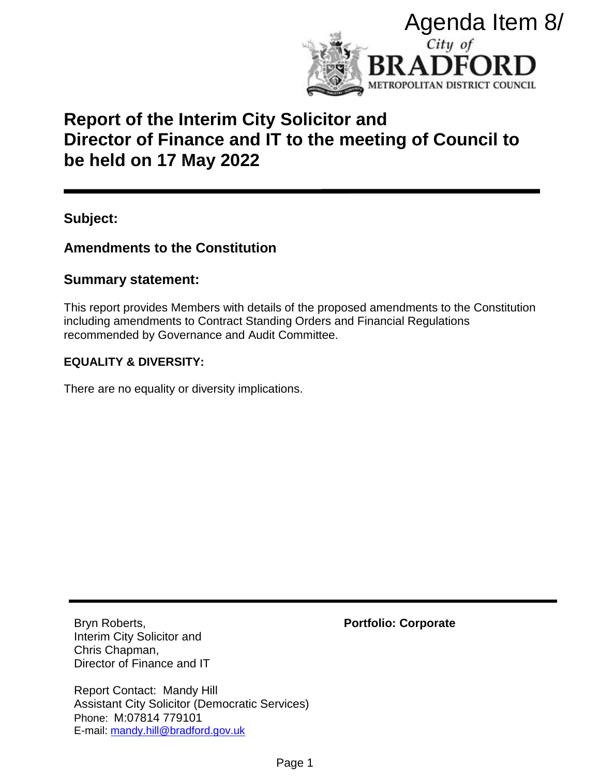

# **Report of the Interim City Solicitor and Director of Finance and IT to the meeting of Council to be held on 17 May 2022**

**Subject:** 

# **Amendments to the Constitution**

# **Summary statement:**

This report provides Members with details of the proposed amendments to the Constitution including amendments to Contract Standing Orders and Financial Regulations recommended by Governance and Audit Committee.

# **EQUALITY & DIVERSITY:**

There are no equality or diversity implications.

Bryn Roberts, Interim City Solicitor and Chris Chapman, Director of Finance and IT

Report Contact: Mandy Hill Assistant City Solicitor (Democratic Services) Phone: M:07814 779101 E-mail: [mandy.hill@bradford.gov.uk](mailto:mandy.hill@bradford.gov.uk)

**Portfolio: Corporate**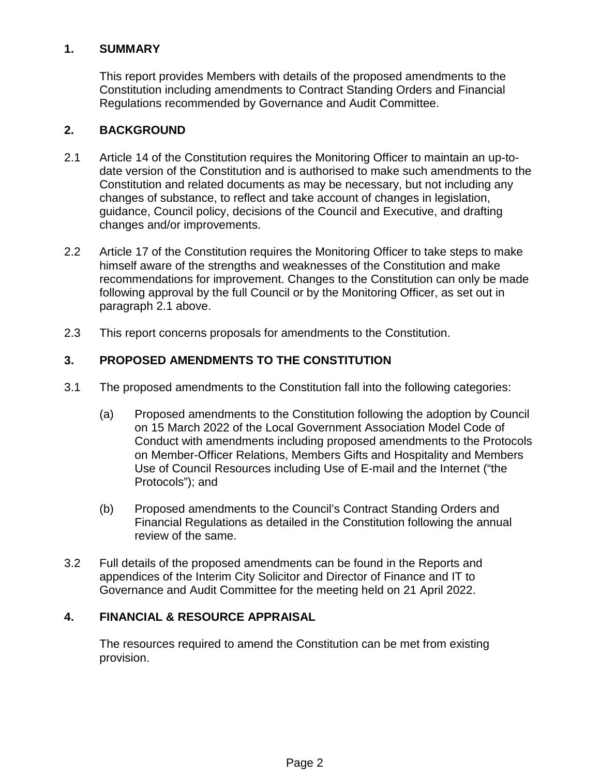## **1. SUMMARY**

This report provides Members with details of the proposed amendments to the Constitution including amendments to Contract Standing Orders and Financial Regulations recommended by Governance and Audit Committee.

# **2. BACKGROUND**

- 2.1 Article 14 of the Constitution requires the Monitoring Officer to maintain an up-todate version of the Constitution and is authorised to make such amendments to the Constitution and related documents as may be necessary, but not including any changes of substance, to reflect and take account of changes in legislation, guidance, Council policy, decisions of the Council and Executive, and drafting changes and/or improvements.
- 2.2 Article 17 of the Constitution requires the Monitoring Officer to take steps to make himself aware of the strengths and weaknesses of the Constitution and make recommendations for improvement. Changes to the Constitution can only be made following approval by the full Council or by the Monitoring Officer, as set out in paragraph 2.1 above.
- 2.3 This report concerns proposals for amendments to the Constitution.

# **3. PROPOSED AMENDMENTS TO THE CONSTITUTION**

- 3.1 The proposed amendments to the Constitution fall into the following categories:
	- (a) Proposed amendments to the Constitution following the adoption by Council on 15 March 2022 of the Local Government Association Model Code of Conduct with amendments including proposed amendments to the Protocols on Member-Officer Relations, Members Gifts and Hospitality and Members Use of Council Resources including Use of E-mail and the Internet ("the Protocols"); and
	- (b) Proposed amendments to the Council's Contract Standing Orders and Financial Regulations as detailed in the Constitution following the annual review of the same.
- 3.2 Full details of the proposed amendments can be found in the Reports and appendices of the Interim City Solicitor and Director of Finance and IT to Governance and Audit Committee for the meeting held on 21 April 2022.

## **4. FINANCIAL & RESOURCE APPRAISAL**

 The resources required to amend the Constitution can be met from existing provision.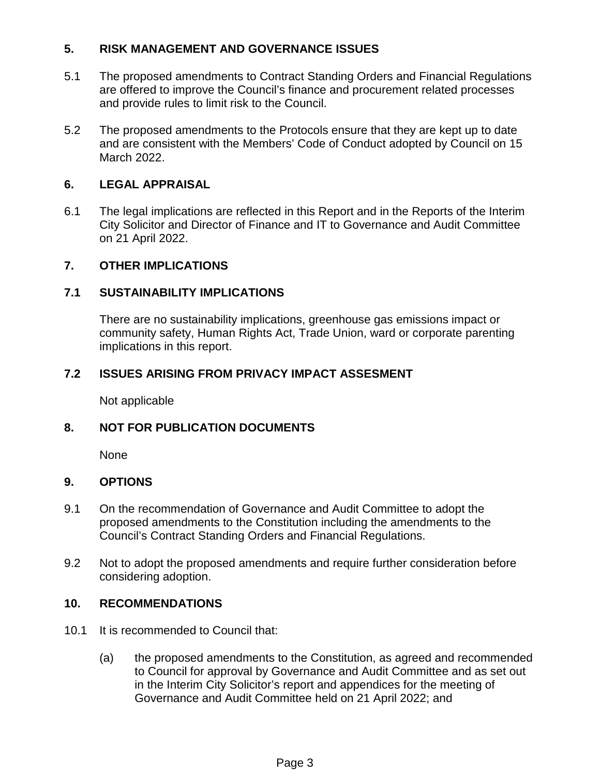## **5. RISK MANAGEMENT AND GOVERNANCE ISSUES**

- 5.1 The proposed amendments to Contract Standing Orders and Financial Regulations are offered to improve the Council's finance and procurement related processes and provide rules to limit risk to the Council.
- 5.2 The proposed amendments to the Protocols ensure that they are kept up to date and are consistent with the Members' Code of Conduct adopted by Council on 15 March 2022.

## **6. LEGAL APPRAISAL**

6.1 The legal implications are reflected in this Report and in the Reports of the Interim City Solicitor and Director of Finance and IT to Governance and Audit Committee on 21 April 2022.

#### **7. OTHER IMPLICATIONS**

#### **7.1 SUSTAINABILITY IMPLICATIONS**

There are no sustainability implications, greenhouse gas emissions impact or community safety, Human Rights Act, Trade Union, ward or corporate parenting implications in this report.

#### **7.2 ISSUES ARISING FROM PRIVACY IMPACT ASSESMENT**

Not applicable

## **8. NOT FOR PUBLICATION DOCUMENTS**

None

#### **9. OPTIONS**

- 9.1 On the recommendation of Governance and Audit Committee to adopt the proposed amendments to the Constitution including the amendments to the Council's Contract Standing Orders and Financial Regulations.
- 9.2 Not to adopt the proposed amendments and require further consideration before considering adoption.

#### **10. RECOMMENDATIONS**

- 10.1 It is recommended to Council that:
	- (a) the proposed amendments to the Constitution, as agreed and recommended to Council for approval by Governance and Audit Committee and as set out in the Interim City Solicitor's report and appendices for the meeting of Governance and Audit Committee held on 21 April 2022; and